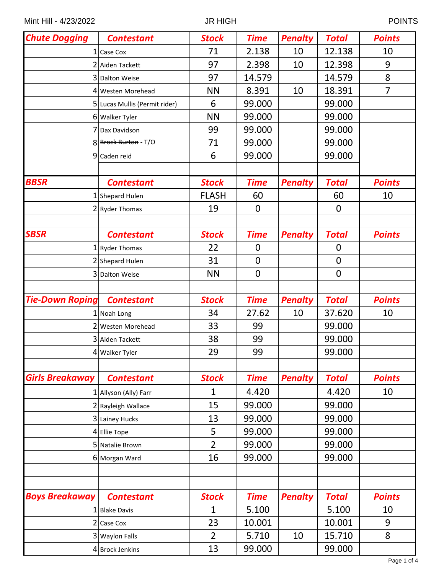| <b>Chute Dogging</b>   | <b>Contestant</b>             | <b>Stock</b>   | <b>Time</b> | <b>Penalty</b> | <b>Total</b>     | <b>Points</b>  |
|------------------------|-------------------------------|----------------|-------------|----------------|------------------|----------------|
| 1 <sup>1</sup>         | Case Cox                      | 71             | 2.138       | 10             | 12.138           | 10             |
|                        | 2 Aiden Tackett               | 97             | 2.398       | 10             | 12.398           | 9              |
|                        | 3 Dalton Weise                | 97             | 14.579      |                | 14.579           | 8              |
|                        | 4 Westen Morehead             | <b>NN</b>      | 8.391       | 10             | 18.391           | $\overline{7}$ |
|                        | 5 Lucas Mullis (Permit rider) | 6              | 99.000      |                | 99.000           |                |
|                        | 6 Walker Tyler                | <b>NN</b>      | 99.000      |                | 99.000           |                |
|                        | Dax Davidson                  | 99             | 99.000      |                | 99.000           |                |
|                        | 8 Brock Burton - T/O          | 71             | 99.000      |                | 99.000           |                |
|                        | 9 Caden reid                  | 6              | 99.000      |                | 99.000           |                |
| <b>BBSR</b>            | <b>Contestant</b>             | <b>Stock</b>   | <b>Time</b> | <b>Penalty</b> | <b>Total</b>     | <b>Points</b>  |
|                        | 1 Shepard Hulen               | <b>FLASH</b>   | 60          |                | 60               | 10             |
|                        | 2 Ryder Thomas                | 19             | $\mathbf 0$ |                | $\overline{0}$   |                |
|                        |                               |                |             |                |                  |                |
| <b>SBSR</b>            | <b>Contestant</b>             | <b>Stock</b>   | <b>Time</b> | <b>Penalty</b> | <b>Total</b>     | <b>Points</b>  |
|                        | 1 Ryder Thomas                | 22             | $\mathbf 0$ |                | $\boldsymbol{0}$ |                |
|                        | 2 Shepard Hulen               | 31             | $\mathbf 0$ |                | $\mathbf 0$      |                |
|                        | 3 Dalton Weise                | <b>NN</b>      | $\mathbf 0$ |                | $\overline{0}$   |                |
|                        |                               |                |             |                |                  |                |
|                        |                               |                |             |                |                  |                |
| <b>Tie-Down Roping</b> | <b>Contestant</b>             | <b>Stock</b>   | <b>Time</b> | <b>Penalty</b> | <b>Total</b>     | <b>Points</b>  |
|                        | Noah Long                     | 34             | 27.62       | 10             | 37.620           | 10             |
|                        | 2 Westen Morehead             | 33             | 99          |                | 99.000           |                |
|                        | 3 Aiden Tackett               | 38             | 99          |                | 99.000           |                |
|                        | 4 Walker Tyler                | 29             | 99          |                | 99.000           |                |
|                        |                               |                |             |                |                  |                |
| <b>Girls Breakaway</b> | <b>Contestant</b>             | <b>Stock</b>   | <b>Time</b> | <b>Penalty</b> | <b>Total</b>     | <b>Points</b>  |
|                        | 1 Allyson (Ally) Farr         | 1              | 4.420       |                | 4.420            | 10             |
|                        | 2 Rayleigh Wallace            | 15             | 99.000      |                | 99.000           |                |
|                        | 3 Lainey Hucks                | 13             | 99.000      |                | 99.000           |                |
|                        | 4 Ellie Tope                  | 5              | 99.000      |                | 99.000           |                |
|                        | 5 Natalie Brown               | $\overline{2}$ | 99.000      |                | 99.000           |                |
|                        | 6 Morgan Ward                 | 16             | 99.000      |                | 99.000           |                |
|                        |                               |                |             |                |                  |                |
|                        |                               |                |             |                |                  |                |
| <b>Boys Breakaway</b>  | <b>Contestant</b>             | <b>Stock</b>   | <b>Time</b> | <b>Penalty</b> | <b>Total</b>     | <b>Points</b>  |
| $1\vert$               | <b>Blake Davis</b>            | 1              | 5.100       |                | 5.100            | 10             |
| $\overline{2}$         | <b>Case Cox</b>               | 23             | 10.001      |                | 10.001           | 9              |
|                        | 3 Waylon Falls                | $\overline{2}$ | 5.710       | 10             | 15.710           | 8              |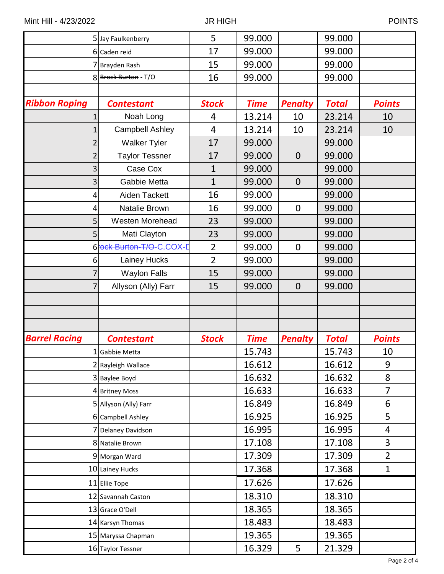|                      | 5 Jay Faulkenberry        | 5              | 99.000      |                | 99.000       |                |
|----------------------|---------------------------|----------------|-------------|----------------|--------------|----------------|
|                      | 6 Caden reid              | 17             | 99.000      |                | 99.000       |                |
|                      | 7 Brayden Rash            | 15             | 99.000      |                | 99.000       |                |
|                      | 8 Brock Burton - T/O      | 16             | 99.000      |                | 99.000       |                |
|                      |                           |                |             |                |              |                |
| <b>Ribbon Roping</b> | <b>Contestant</b>         | <b>Stock</b>   | <b>Time</b> | <b>Penalty</b> | <b>Total</b> | <b>Points</b>  |
|                      | Noah Long                 | 4              | 13.214      | 10             | 23.214       | 10             |
|                      | <b>Campbell Ashley</b>    | 4              | 13.214      | 10             | 23.214       | 10             |
|                      | <b>Walker Tyler</b>       | 17             | 99.000      |                | 99.000       |                |
|                      | <b>Taylor Tessner</b>     | 17             | 99.000      | $\overline{0}$ | 99.000       |                |
| 3                    | Case Cox                  | $\mathbf{1}$   | 99.000      |                | 99.000       |                |
| 3                    | Gabbie Metta              | $\mathbf{1}$   | 99.000      | $\overline{0}$ | 99.000       |                |
| 4                    | Aiden Tackett             | 16             | 99.000      |                | 99.000       |                |
| 4                    | Natalie Brown             | 16             | 99.000      | $\mathbf 0$    | 99.000       |                |
| 5                    | <b>Westen Morehead</b>    | 23             | 99.000      |                | 99.000       |                |
| 5                    | Mati Clayton              | 23             | 99.000      |                | 99.000       |                |
|                      | 6 lock Burton-T/O-C.COX-D | $\overline{2}$ | 99.000      | $\mathbf 0$    | 99.000       |                |
| 6                    | Lainey Hucks              | $\overline{2}$ | 99.000      |                | 99.000       |                |
|                      | <b>Waylon Falls</b>       | 15             | 99.000      |                | 99.000       |                |
|                      | Allyson (Ally) Farr       | 15             | 99.000      | $\overline{0}$ | 99.000       |                |
|                      |                           |                |             |                |              |                |
|                      |                           |                |             |                |              |                |
|                      |                           |                |             |                |              |                |
| <b>Barrel Racing</b> | <b>Contestant</b>         | <b>Stock</b>   | <b>Time</b> | <b>Penalty</b> | <b>Total</b> | <b>Points</b>  |
|                      | 1 Gabbie Metta            |                | 15.743      |                | 15.743       | 10             |
|                      | 2 Rayleigh Wallace        |                | 16.612      |                | 16.612       | 9              |
|                      | 3 Baylee Boyd             |                | 16.632      |                | 16.632       | 8              |
|                      | 4 Britney Moss            |                | 16.633      |                | 16.633       | $\overline{7}$ |
|                      | 5 Allyson (Ally) Farr     |                | 16.849      |                | 16.849       | 6              |
|                      | 6 Campbell Ashley         |                | 16.925      |                | 16.925       | 5              |
|                      | 7 Delaney Davidson        |                | 16.995      |                | 16.995       | 4              |
|                      | 8 Natalie Brown           |                | 17.108      |                | 17.108       | 3              |
|                      | 9 Morgan Ward             |                | 17.309      |                | 17.309       | $\overline{2}$ |
|                      | 10 Lainey Hucks           |                | 17.368      |                | 17.368       | $\mathbf{1}$   |
|                      | 11 Ellie Tope             |                | 17.626      |                | 17.626       |                |
|                      | 12 Savannah Caston        |                | 18.310      |                | 18.310       |                |
|                      | 13 Grace O'Dell           |                | 18.365      |                | 18.365       |                |
|                      | 14 Karsyn Thomas          |                | 18.483      |                | 18.483       |                |
|                      | 15 Maryssa Chapman        |                | 19.365      |                | 19.365       |                |
|                      | 16 Taylor Tessner         |                | 16.329      | 5              | 21.329       |                |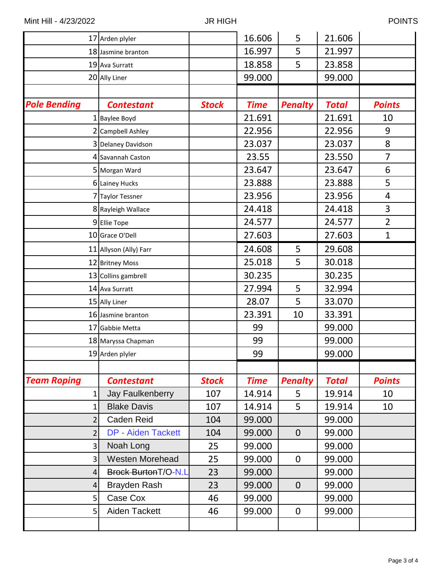|                     | 17 Arden plyler            |              | 16.606      | 5              | 21.606       |                |
|---------------------|----------------------------|--------------|-------------|----------------|--------------|----------------|
|                     | 18 Jasmine branton         |              | 16.997      | 5              | 21.997       |                |
|                     | 19 Ava Surratt             |              | 18.858      | 5              | 23.858       |                |
|                     | 20 Ally Liner              |              | 99.000      |                | 99.000       |                |
|                     |                            |              |             |                |              |                |
| <b>Pole Bending</b> | <b>Contestant</b>          | <b>Stock</b> | <b>Time</b> | <b>Penalty</b> | <b>Total</b> | <b>Points</b>  |
|                     | 1 Baylee Boyd              |              | 21.691      |                | 21.691       | 10             |
|                     | 2 Campbell Ashley          |              | 22.956      |                | 22.956       | 9              |
|                     | 3 Delaney Davidson         |              | 23.037      |                | 23.037       | 8              |
|                     | 4 Savannah Caston          |              | 23.55       |                | 23.550       | 7              |
|                     | 5 Morgan Ward              |              | 23.647      |                | 23.647       | 6              |
|                     | 6 Lainey Hucks             |              | 23.888      |                | 23.888       | 5              |
|                     | 7 Taylor Tessner           |              | 23.956      |                | 23.956       | 4              |
|                     | 8 Rayleigh Wallace         |              | 24.418      |                | 24.418       | 3              |
|                     | 9 Ellie Tope               |              | 24.577      |                | 24.577       | $\overline{2}$ |
|                     | 10 Grace O'Dell            |              | 27.603      |                | 27.603       | $\mathbf{1}$   |
|                     | 11 Allyson (Ally) Farr     |              | 24.608      | 5              | 29.608       |                |
|                     | 12 Britney Moss            |              | 25.018      | 5              | 30.018       |                |
|                     | 13 Collins gambrell        |              | 30.235      |                | 30.235       |                |
|                     | 14 Ava Surratt             |              | 27.994      | 5              | 32.994       |                |
|                     | 15 Ally Liner              |              | 28.07       | 5              | 33.070       |                |
|                     | 16 Jasmine branton         |              | 23.391      | 10             | 33.391       |                |
|                     | 17 Gabbie Metta            |              | 99          |                | 99.000       |                |
|                     | 18 Maryssa Chapman         |              | 99          |                | 99.000       |                |
|                     | 19 Arden plyler            |              | 99          |                | 99.000       |                |
|                     |                            |              |             |                |              |                |
| <b>Team Roping</b>  | <b>Contestant</b>          | <b>Stock</b> | <b>Time</b> | <b>Penalty</b> | <b>Total</b> | <b>Points</b>  |
| $1\vert$            | Jay Faulkenberry           | 107          | 14.914      | 5              | 19.914       | 10             |
| 1                   | <b>Blake Davis</b>         | 107          | 14.914      | 5              | 19.914       | 10             |
| 2                   | Caden Reid                 | 104          | 99.000      |                | 99.000       |                |
| $\overline{2}$      | <b>DP - Aiden Tackett</b>  | 104          | 99.000      | $\mathbf 0$    | 99.000       |                |
| 3                   | Noah Long                  | 25           | 99.000      |                | 99.000       |                |
| 3 <sup>1</sup>      | <b>Westen Morehead</b>     | 25           | 99.000      | $\mathbf 0$    | 99.000       |                |
| 4                   | <b>Brock BurtonT/O-N.L</b> | 23           | 99.000      |                | 99.000       |                |
| $\vert$             | Brayden Rash               | 23           | 99.000      | $\mathbf 0$    | 99.000       |                |
| 5 <sup>1</sup>      | Case Cox                   | 46           | 99.000      |                | 99.000       |                |
| 5 <sup>1</sup>      | Aiden Tackett              | 46           | 99.000      | $\mathbf 0$    | 99.000       |                |
|                     |                            |              |             |                |              |                |